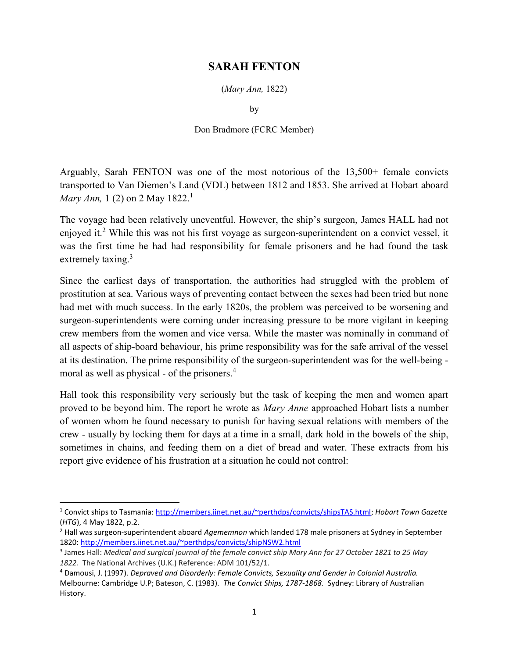## SARAH FENTON

(Mary Ann, 1822)

by

## Don Bradmore (FCRC Member)

Arguably, Sarah FENTON was one of the most notorious of the 13,500+ female convicts transported to Van Diemen's Land (VDL) between 1812 and 1853. She arrived at Hobart aboard *Mary Ann*, 1 (2) on 2 May 1822.<sup>1</sup>

The voyage had been relatively uneventful. However, the ship's surgeon, James HALL had not enjoyed it.<sup>2</sup> While this was not his first voyage as surgeon-superintendent on a convict vessel, it was the first time he had had responsibility for female prisoners and he had found the task extremely taxing.<sup>3</sup>

Since the earliest days of transportation, the authorities had struggled with the problem of prostitution at sea. Various ways of preventing contact between the sexes had been tried but none had met with much success. In the early 1820s, the problem was perceived to be worsening and surgeon-superintendents were coming under increasing pressure to be more vigilant in keeping crew members from the women and vice versa. While the master was nominally in command of all aspects of ship-board behaviour, his prime responsibility was for the safe arrival of the vessel at its destination. The prime responsibility of the surgeon-superintendent was for the well-being moral as well as physical - of the prisoners.<sup>4</sup>

Hall took this responsibility very seriously but the task of keeping the men and women apart proved to be beyond him. The report he wrote as *Mary Anne* approached Hobart lists a number of women whom he found necessary to punish for having sexual relations with members of the crew - usually by locking them for days at a time in a small, dark hold in the bowels of the ship, sometimes in chains, and feeding them on a diet of bread and water. These extracts from his report give evidence of his frustration at a situation he could not control:

 $\overline{a}$ 

<sup>&</sup>lt;sup>1</sup> Convict ships to Tasmania: http://members.iinet.net.au/~perthdps/convicts/shipsTAS.html; Hobart Town Gazette (HTG), 4 May 1822, p.2.

<sup>&</sup>lt;sup>2</sup> Hall was surgeon-superintendent aboard Agememnon which landed 178 male prisoners at Sydney in September 1820: http://members.iinet.net.au/~perthdps/convicts/shipNSW2.html

<sup>&</sup>lt;sup>3</sup> James Hall: Medical and surgical journal of the female convict ship Mary Ann for 27 October 1821 to 25 May 1822. The National Archives (U.K.) Reference: ADM 101/52/1.

<sup>&</sup>lt;sup>4</sup> Damousi, J. (1997). Depraved and Disorderly: Female Convicts, Sexuality and Gender in Colonial Australia. Melbourne: Cambridge U.P; Bateson, C. (1983). The Convict Ships, 1787-1868. Sydney: Library of Australian History.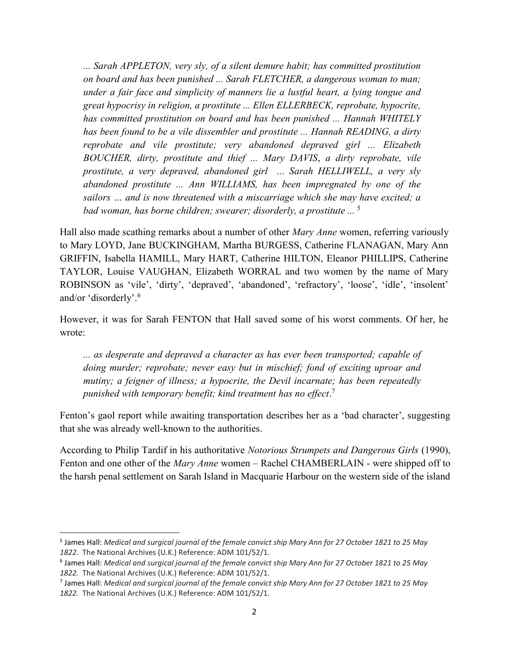... Sarah APPLETON, very sly, of a silent demure habit; has committed prostitution on board and has been punished ... Sarah FLETCHER, a dangerous woman to man; under a fair face and simplicity of manners lie a lustful heart, a lying tongue and great hypocrisy in religion, a prostitute ... Ellen ELLERBECK, reprobate, hypocrite, has committed prostitution on board and has been punished ... Hannah WHITELY has been found to be a vile dissembler and prostitute ... Hannah READING, a dirty reprobate and vile prostitute; very abandoned depraved girl ... Elizabeth BOUCHER, dirty, prostitute and thief ... Mary DAVIS, a dirty reprobate, vile prostitute, a very depraved, abandoned girl ... Sarah HELLIWELL, a very sly abandoned prostitute ... Ann WILLIAMS, has been impregnated by one of the sailors … and is now threatened with a miscarriage which she may have excited; a bad woman, has borne children; swearer; disorderly, a prostitute ... <sup>5</sup>

Hall also made scathing remarks about a number of other *Mary Anne* women, referring variously to Mary LOYD, Jane BUCKINGHAM, Martha BURGESS, Catherine FLANAGAN, Mary Ann GRIFFIN, Isabella HAMILL, Mary HART, Catherine HILTON, Eleanor PHILLIPS, Catherine TAYLOR, Louise VAUGHAN, Elizabeth WORRAL and two women by the name of Mary ROBINSON as 'vile', 'dirty', 'depraved', 'abandoned', 'refractory', 'loose', 'idle', 'insolent' and/or 'disorderly'.<sup>6</sup>

However, it was for Sarah FENTON that Hall saved some of his worst comments. Of her, he wrote:

... as desperate and depraved a character as has ever been transported; capable of doing murder; reprobate; never easy but in mischief; fond of exciting uproar and mutiny; a feigner of illness; a hypocrite, the Devil incarnate; has been repeatedly punished with temporary benefit; kind treatment has no effect.<sup>7</sup>

Fenton's gaol report while awaiting transportation describes her as a 'bad character', suggesting that she was already well-known to the authorities.

According to Philip Tardif in his authoritative Notorious Strumpets and Dangerous Girls (1990), Fenton and one other of the *Mary Anne* women – Rachel CHAMBERLAIN - were shipped off to the harsh penal settlement on Sarah Island in Macquarie Harbour on the western side of the island

<sup>&</sup>lt;sup>5</sup> James Hall: Medical and surgical journal of the female convict ship Mary Ann for 27 October 1821 to 25 May 1822. The National Archives (U.K.) Reference: ADM 101/52/1.

<sup>6</sup> James Hall: Medical and surgical journal of the female convict ship Mary Ann for 27 October 1821 to 25 May 1822. The National Archives (U.K.) Reference: ADM 101/52/1.

<sup>&</sup>lt;sup>7</sup> James Hall: Medical and surgical journal of the female convict ship Mary Ann for 27 October 1821 to 25 May 1822. The National Archives (U.K.) Reference: ADM 101/52/1.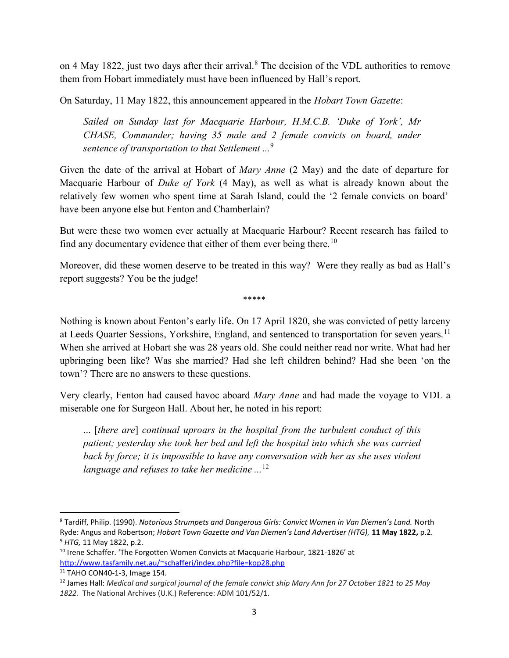on 4 May 1822, just two days after their arrival.<sup>8</sup> The decision of the VDL authorities to remove them from Hobart immediately must have been influenced by Hall's report.

On Saturday, 11 May 1822, this announcement appeared in the Hobart Town Gazette:

Sailed on Sunday last for Macquarie Harbour, H.M.C.B. 'Duke of York', Mr CHASE, Commander; having 35 male and 2 female convicts on board, under sentence of transportation to that Settlement  $\cdot$ ..<sup>9</sup>

Given the date of the arrival at Hobart of Mary Anne (2 May) and the date of departure for Macquarie Harbour of Duke of York (4 May), as well as what is already known about the relatively few women who spent time at Sarah Island, could the '2 female convicts on board' have been anyone else but Fenton and Chamberlain?

But were these two women ever actually at Macquarie Harbour? Recent research has failed to find any documentary evidence that either of them ever being there.<sup>10</sup>

Moreover, did these women deserve to be treated in this way? Were they really as bad as Hall's report suggests? You be the judge!

\*\*\*\*\*

Nothing is known about Fenton's early life. On 17 April 1820, she was convicted of petty larceny at Leeds Quarter Sessions, Yorkshire, England, and sentenced to transportation for seven years.<sup>11</sup> When she arrived at Hobart she was 28 years old. She could neither read nor write. What had her upbringing been like? Was she married? Had she left children behind? Had she been 'on the town'? There are no answers to these questions.

Very clearly, Fenton had caused havoc aboard Mary Anne and had made the voyage to VDL a miserable one for Surgeon Hall. About her, he noted in his report:

... [there are] continual uproars in the hospital from the turbulent conduct of this patient; yesterday she took her bed and left the hospital into which she was carried back by force; it is impossible to have any conversation with her as she uses violent language and refuses to take her medicine  $\ldots$ <sup>12</sup>

<sup>&</sup>lt;sup>8</sup> Tardiff, Philip. (1990). *Notorious Strumpets and Dangerous Girls: Convict Women in Van Diemen's Land. North* Ryde: Angus and Robertson; Hobart Town Gazette and Van Diemen's Land Advertiser (HTG), 11 May 1822, p.2. <sup>9</sup> HTG, 11 May 1822, p.2.

<sup>&</sup>lt;sup>10</sup> Irene Schaffer. 'The Forgotten Women Convicts at Macquarie Harbour, 1821-1826' at http://www.tasfamily.net.au/~schafferi/index.php?file=kop28.php

<sup>11</sup> TAHO CON40-1-3, Image 154.

 $12$  James Hall: Medical and surgical journal of the female convict ship Mary Ann for 27 October 1821 to 25 May 1822. The National Archives (U.K.) Reference: ADM 101/52/1.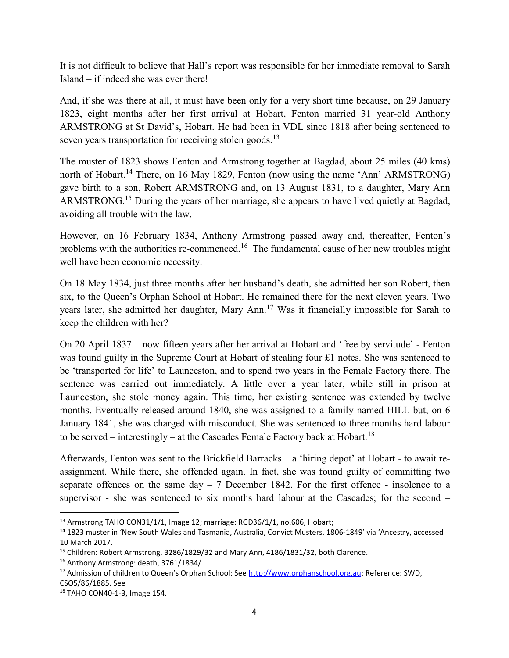It is not difficult to believe that Hall's report was responsible for her immediate removal to Sarah Island – if indeed she was ever there!

And, if she was there at all, it must have been only for a very short time because, on 29 January 1823, eight months after her first arrival at Hobart, Fenton married 31 year-old Anthony ARMSTRONG at St David's, Hobart. He had been in VDL since 1818 after being sentenced to seven years transportation for receiving stolen goods.<sup>13</sup>

The muster of 1823 shows Fenton and Armstrong together at Bagdad, about 25 miles (40 kms) north of Hobart.<sup>14</sup> There, on 16 May 1829, Fenton (now using the name 'Ann' ARMSTRONG) gave birth to a son, Robert ARMSTRONG and, on 13 August 1831, to a daughter, Mary Ann ARMSTRONG.<sup>15</sup> During the years of her marriage, she appears to have lived quietly at Bagdad, avoiding all trouble with the law.

However, on 16 February 1834, Anthony Armstrong passed away and, thereafter, Fenton's problems with the authorities re-commenced.<sup>16</sup> The fundamental cause of her new troubles might well have been economic necessity.

On 18 May 1834, just three months after her husband's death, she admitted her son Robert, then six, to the Queen's Orphan School at Hobart. He remained there for the next eleven years. Two years later, she admitted her daughter, Mary Ann.<sup>17</sup> Was it financially impossible for Sarah to keep the children with her?

On 20 April 1837 – now fifteen years after her arrival at Hobart and 'free by servitude' - Fenton was found guilty in the Supreme Court at Hobart of stealing four £1 notes. She was sentenced to be 'transported for life' to Launceston, and to spend two years in the Female Factory there. The sentence was carried out immediately. A little over a year later, while still in prison at Launceston, she stole money again. This time, her existing sentence was extended by twelve months. Eventually released around 1840, she was assigned to a family named HILL but, on 6 January 1841, she was charged with misconduct. She was sentenced to three months hard labour to be served – interestingly – at the Cascades Female Factory back at Hobart.<sup>18</sup>

Afterwards, Fenton was sent to the Brickfield Barracks – a 'hiring depot' at Hobart - to await reassignment. While there, she offended again. In fact, she was found guilty of committing two separate offences on the same day  $-7$  December 1842. For the first offence - insolence to a supervisor - she was sentenced to six months hard labour at the Cascades; for the second –

<sup>&</sup>lt;sup>13</sup> Armstrong TAHO CON31/1/1, Image 12; marriage: RGD36/1/1, no.606, Hobart;

<sup>14</sup> 1823 muster in 'New South Wales and Tasmania, Australia, Convict Musters, 1806-1849' via 'Ancestry, accessed 10 March 2017.

<sup>&</sup>lt;sup>15</sup> Children: Robert Armstrong, 3286/1829/32 and Mary Ann, 4186/1831/32, both Clarence.

<sup>16</sup> Anthony Armstrong: death, 3761/1834/

<sup>&</sup>lt;sup>17</sup> Admission of children to Queen's Orphan School: See http://www.orphanschool.org.au; Reference: SWD, CSO5/86/1885. See

<sup>18</sup> TAHO CON40-1-3, Image 154.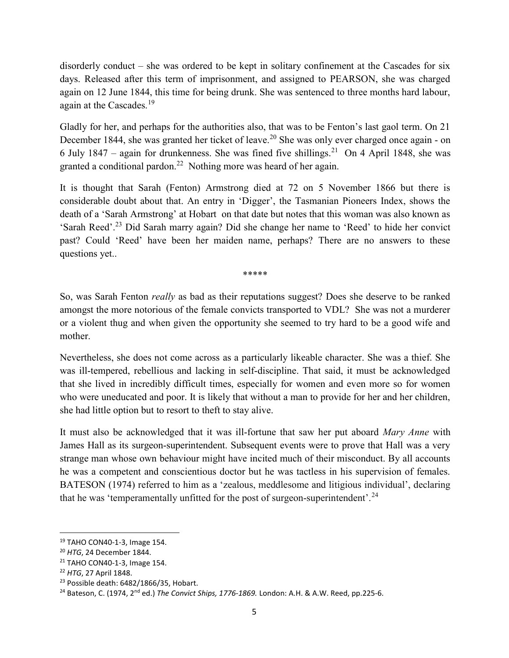disorderly conduct – she was ordered to be kept in solitary confinement at the Cascades for six days. Released after this term of imprisonment, and assigned to PEARSON, she was charged again on 12 June 1844, this time for being drunk. She was sentenced to three months hard labour, again at the Cascades.<sup>19</sup>

Gladly for her, and perhaps for the authorities also, that was to be Fenton's last gaol term. On 21 December 1844, she was granted her ticket of leave.<sup>20</sup> She was only ever charged once again - on 6 July 1847 – again for drunkenness. She was fined five shillings.<sup>21</sup> On 4 April 1848, she was granted a conditional pardon.<sup>22</sup> Nothing more was heard of her again.

It is thought that Sarah (Fenton) Armstrong died at 72 on 5 November 1866 but there is considerable doubt about that. An entry in 'Digger', the Tasmanian Pioneers Index, shows the death of a 'Sarah Armstrong' at Hobart on that date but notes that this woman was also known as 'Sarah Reed'.<sup>23</sup> Did Sarah marry again? Did she change her name to 'Reed' to hide her convict past? Could 'Reed' have been her maiden name, perhaps? There are no answers to these questions yet..

\*\*\*\*\*

So, was Sarah Fenton really as bad as their reputations suggest? Does she deserve to be ranked amongst the more notorious of the female convicts transported to VDL? She was not a murderer or a violent thug and when given the opportunity she seemed to try hard to be a good wife and mother.

Nevertheless, she does not come across as a particularly likeable character. She was a thief. She was ill-tempered, rebellious and lacking in self-discipline. That said, it must be acknowledged that she lived in incredibly difficult times, especially for women and even more so for women who were uneducated and poor. It is likely that without a man to provide for her and her children, she had little option but to resort to theft to stay alive.

It must also be acknowledged that it was ill-fortune that saw her put aboard Mary Anne with James Hall as its surgeon-superintendent. Subsequent events were to prove that Hall was a very strange man whose own behaviour might have incited much of their misconduct. By all accounts he was a competent and conscientious doctor but he was tactless in his supervision of females. BATESON (1974) referred to him as a 'zealous, meddlesome and litigious individual', declaring that he was 'temperamentally unfitted for the post of surgeon-superintendent'.<sup>24</sup>

<sup>19</sup> TAHO CON40-1-3, Image 154.

<sup>&</sup>lt;sup>20</sup> HTG, 24 December 1844.

<sup>21</sup> TAHO CON40-1-3, Image 154.

<sup>&</sup>lt;sup>22</sup> HTG, 27 April 1848.

<sup>23</sup> Possible death: 6482/1866/35, Hobart.

<sup>&</sup>lt;sup>24</sup> Bateson, C. (1974, 2<sup>nd</sup> ed.) The Convict Ships, 1776-1869. London: A.H. & A.W. Reed, pp.225-6.